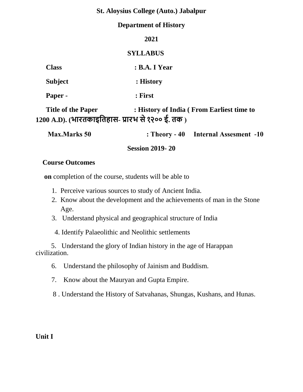#### **Department of History**

|                                                                               | 2021                                              |
|-------------------------------------------------------------------------------|---------------------------------------------------|
|                                                                               | <b>SYLLABUS</b>                                   |
| <b>Class</b>                                                                  | <b>: B.A. I Year</b>                              |
| <b>Subject</b>                                                                | : History                                         |
| Paper -                                                                       | : First                                           |
| <b>Title of the Paper</b><br>1200 A.D). (भारतकाइतिहास- प्रारभ से १२०० ई. तक ) | : History of India (From Earliest time to         |
| May Maylıs 50                                                                 | $\cdot$ Theory $\Lambda$ Internal Assessment $10$ |

**Session 2019- 20** 

#### **Course Outcomes**

 **on** completion of the course, students will be able to

- 1. Perceive various sources to study of Ancient India.
- 2. Know about the development and the achievements of man in the Stone Age.
- 3. Understand physical and geographical structure of India
- 4. Identify Palaeolithic and Neolithic settlements

 5. Understand the glory of Indian history in the age of Harappan civilization.

- 6. Understand the philosophy of Jainism and Buddism.
- 7. Know about the Mauryan and Gupta Empire.
- 8 . Understand the History of Satvahanas, Shungas, Kushans, and Hunas.

**Unit I**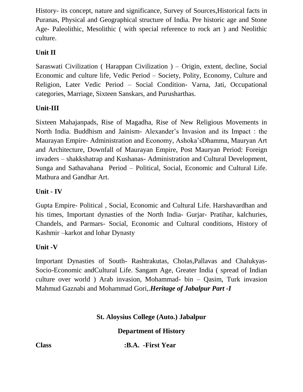History- its concept, nature and significance, Survey of Sources,Historical facts in Puranas, Physical and Geographical structure of India. Pre historic age and Stone Age- Paleolithic, Mesolithic ( with special reference to rock art ) and Neolithic culture.

# **Unit II**

Saraswati Civilization ( Harappan Civilization ) – Origin, extent, decline, Social Economic and culture life, Vedic Period – Society, Polity, Economy, Culture and Religion, Later Vedic Period – Social Condition- Varna, Jati, Occupational categories, Marriage, Sixteen Sanskars, and Purusharthas.

## **Unit-III**

Sixteen Mahajanpads, Rise of Magadha, Rise of New Religious Movements in North India. Buddhism and Jainism- Alexander's Invasion and its Impact : the Maurayan Empire- Administration and Economy, Ashoka'sDhamma, Mauryan Art and Architecture, Downfall of Maurayan Empire, Post Mauryan Period: Foreign invaders – shakkshatrap and Kushanas- Administration and Cultural Development, Sunga and Sathavahana Period – Political, Social, Economic and Cultural Life. Mathura and Gandhar Art.

## **Unit - IV**

Gupta Empire- Political , Social, Economic and Cultural Life. Harshavardhan and his times, Important dynasties of the North India- Gurjar- Pratihar, kalchuries, Chandels, and Parmars- Social, Economic and Cultural conditions, History of Kashmir –karkot and lohar Dynasty

## **Unit -V**

Important Dynasties of South- Rashtrakutas, Cholas,Pallavas and Chalukyas-Socio-Economic andCultural Life. Sangam Age, Greater India ( spread of Indian culture over world ) Arab invasion, Mohammad- bin – Qasim, Turk invasion Mahmud Gaznabi and Mohammad Gori,.*Heritage of Jabalpur Part -I*

## **St. Aloysius College (Auto.) Jabalpur**

**Department of History**

**Class :B.A. -First Year**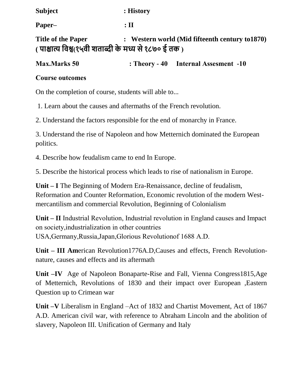| <b>Subject</b>                                                                     | : History                                       |
|------------------------------------------------------------------------------------|-------------------------------------------------|
| Paper-                                                                             | $:$ $\Pi$                                       |
| <b>Title of the Paper</b><br>( पाश्चात्य विश्व(१५वी शताब्दी के मध्य से १८७० ई तक ) | : Western world (Mid fifteenth century to 1870) |

**Max.Marks 50 : Theory - 40 Internal Assesment -10**

#### **Course outcomes**

On the completion of course, students will able to...

1. Learn about the causes and aftermaths of the French revolution.

2. Understand the factors responsible for the end of monarchy in France.

3. Understand the rise of Napoleon and how Metternich dominated the European politics.

4. Describe how feudalism came to end In Europe.

5. Describe the historical process which leads to rise of nationalism in Europe.

**Unit – I** The Beginning of Modern Era-Renaissance, decline of feudalism, Reformation and Counter Reformation, Economic revolution of the modern Westmercantilism and commercial Revolution, Beginning of Colonialism

**Unit – II** Industrial Revolution, Industrial revolution in England causes and Impact on society,industrialization in other countries USA,Germany,Russia,Japan,Glorious Revolutionof 1688 A.D.

**Unit – III Am**erican Revolution1776A.D,Causes and effects, French Revolutionnature, causes and effects and its aftermath

**Unit –IV** Age of Napoleon Bonaparte-Rise and Fall, Vienna Congress1815,Age of Metternich, Revolutions of 1830 and their impact over European ,Eastern Question up to Crimean war

**Unit –V** Liberalism in England –Act of 1832 and Chartist Movement, Act of 1867 A.D. American civil war, with reference to Abraham Lincoln and the abolition of slavery, Napoleon III. Unification of Germany and Italy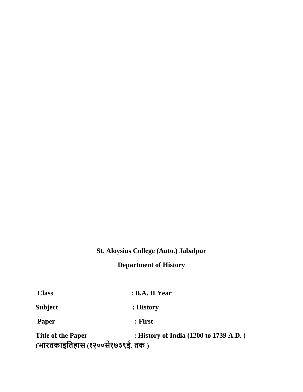# **Department of History**

| <b>Class</b>                                                  | : B.A. II Year                         |
|---------------------------------------------------------------|----------------------------------------|
| Subject                                                       | : History                              |
| Paper                                                         | : First                                |
| <b>Title of the Paper</b><br>(भारतकाइतिहास (१२००से१७३९ई. तक ) | : History of India (1200 to 1739 A.D.) |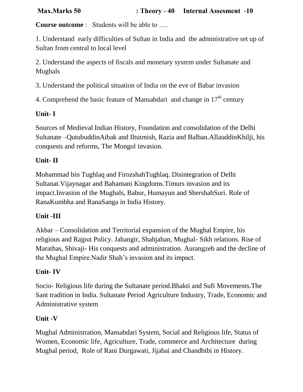**Course outcome** : Students will be able to ….

1. Understand early difficulties of Sultan in India and the administrative set up of Sultan from central to local level

2. Understand the aspects of fiscals and monetary system under Sultanate and Mughals

3. Understand the political situation of India on the eve of Babar invasion

4. Comprehend the basic feature of Mansabdari and change in  $17<sup>th</sup>$  century

# **Unit- I**

Sources of Medieval Indian History, Foundation and consolidation of the Delhi Sultanate –QutubuddinAibak and Iltutmish, Razia and Balban.AllauddinKhilji, his conquests and reforms, The Mongol invasion.

# **Unit- II**

Mohammad bin Tughlaq and FirozshahTughlaq. Disintegration of Delhi Sultanat.Vijaynagar and Bahamani Kingdoms.Timurs invasion and its impact.Invasion of the Mughals, Babur, Humayun and ShershahSuri. Role of RanaKumbha and RanaSanga in India History.

## **Unit -III**

Akbar – Consolidation and Territorial expansion of the Mughal Empire, his religious and Rajput Policy. Jahangir, Shahjahan, Mughal- Sikh relations. Rise of Marathas, Shivaji- His conquests and administration. Aurangzeb and the decline of the Mughal Empire.Nadir Shah's invasion and its impact.

## **Unit- IV**

Socio- Religious life during the Sultanate period.Bhakti and Sufi Movements.The Sant tradition in India. Sultanate Period Agriculture Industry, Trade, Economic and Administrative system

## **Unit -V**

Mughal Administration, Mansabdari System, Social and Religious life, Status of Women, Economic life, Agriculture, Trade, commerce and Architecture during Mughal period, Role of Rani Durgawati, Jijabai and Chandbibi in History.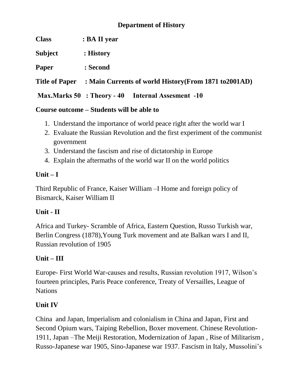#### **Department of History**

| <b>Class</b> | : BA II year |
|--------------|--------------|
|              |              |

**Subject : History**

**Paper : Second**

**Title of Paper : Main Currents of world History(From 1871 to2001AD)**

**Max.Marks 50 : Theory - 40 Internal Assesment -10**

#### **Course outcome – Students will be able to**

- 1. Understand the importance of world peace right after the world war I
- 2. Evaluate the Russian Revolution and the first experiment of the communist government
- 3. Understand the fascism and rise of dictatorship in Europe
- 4. Explain the aftermaths of the world war II on the world politics

#### **Unit – I**

Third Republic of France, Kaiser William –I Home and foreign policy of Bismarck, Kaiser William II

## **Unit - II**

Africa and Turkey- Scramble of Africa, Eastern Question, Russo Turkish war, Berlin Congress (1878),Young Turk movement and ate Balkan wars I and II, Russian revolution of 1905

## **Unit – III**

Europe- First World War-causes and results, Russian revolution 1917, Wilson's fourteen principles, Paris Peace conference, Treaty of Versailles, League of **Nations** 

## **Unit IV**

China and Japan, Imperialism and colonialism in China and Japan, First and Second Opium wars, Taiping Rebellion, Boxer movement. Chinese Revolution-1911, Japan –The Meiji Restoration, Modernization of Japan , Rise of Militarism , Russo-Japanese war 1905, Sino-Japanese war 1937. Fascism in Italy, Mussolini's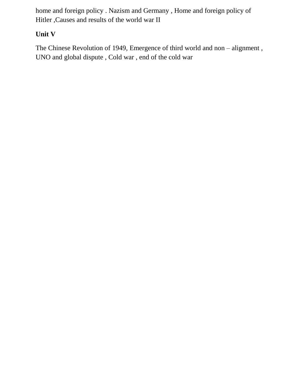home and foreign policy . Nazism and Germany , Home and foreign policy of Hitler ,Causes and results of the world war II

# **Unit V**

The Chinese Revolution of 1949, Emergence of third world and non – alignment , UNO and global dispute , Cold war , end of the cold war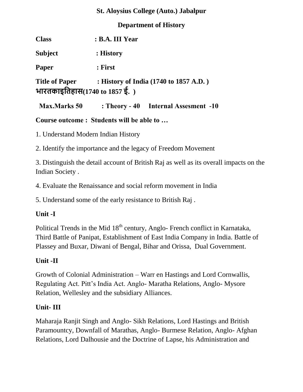#### **Department of History**

| <b>Class</b>                  | : B.A. III Year |                                                       |
|-------------------------------|-----------------|-------------------------------------------------------|
| <b>Subject</b>                | : History       |                                                       |
| Paper                         | : First         |                                                       |
| भारतकाइतिहास(1740 to 1857 ई.) |                 | Title of Paper : History of India (1740 to 1857 A.D.) |
| <b>Max.Marks</b> 50           |                 | : Theory - 40 Internal Assesment -10                  |

**Course outcome : Students will be able to …**

1. Understand Modern Indian History

2. Identify the importance and the legacy of Freedom Movement

3. Distinguish the detail account of British Raj as well as its overall impacts on the Indian Society .

4. Evaluate the Renaissance and social reform movement in India

5. Understand some of the early resistance to British Raj .

## **Unit -I**

Political Trends in the Mid 18<sup>th</sup> century, Anglo- French conflict in Karnataka, Third Battle of Panipat, Establishment of East India Company in India. Battle of Plassey and Buxar, Diwani of Bengal, Bihar and Orissa, Dual Government.

# **Unit -II**

Growth of Colonial Administration – Warr en Hastings and Lord Cornwallis, Regulating Act. Pitt's India Act. Anglo- Maratha Relations, Anglo- Mysore Relation, Wellesley and the subsidiary Alliances.

# **Unit- III**

Maharaja Ranjit Singh and Anglo- Sikh Relations, Lord Hastings and British Paramountcy, Downfall of Marathas, Anglo- Burmese Relation, Anglo- Afghan Relations, Lord Dalhousie and the Doctrine of Lapse, his Administration and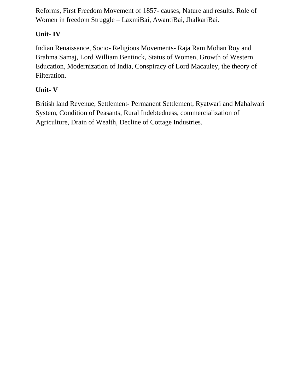Reforms, First Freedom Movement of 1857- causes, Nature and results. Role of Women in freedom Struggle – LaxmiBai, AwantiBai, JhalkariBai.

## **Unit- IV**

Indian Renaissance, Socio- Religious Movements- Raja Ram Mohan Roy and Brahma Samaj, Lord William Bentinck, Status of Women, Growth of Western Education, Modernization of India, Conspiracy of Lord Macauley, the theory of Filteration.

## **Unit- V**

British land Revenue, Settlement- Permanent Settlement, Ryatwari and Mahalwari System, Condition of Peasants, Rural Indebtedness, commercialization of Agriculture, Drain of Wealth, Decline of Cottage Industries.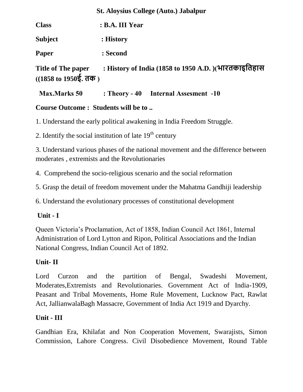| <b>Class</b>                                                                | : B.A. III Year                                      |
|-----------------------------------------------------------------------------|------------------------------------------------------|
| <b>Subject</b>                                                              | : History                                            |
| Paper                                                                       | : Second                                             |
| Title of The paper<br>$((1858 \text{ to } 1950\frac{1}{5}, 60\frac{1}{5}))$ | : History of India (1858 to 1950 A.D.) (भारतकाइतिहास |

 **Max.Marks 50 : Theory - 40 Internal Assesment -10**

## **Course Outcome : Students will be to ..**

1. Understand the early political awakening in India Freedom Struggle.

2. Identify the social institution of late  $19<sup>th</sup>$  century

3. Understand various phases of the national movement and the difference between moderates , extremists and the Revolutionaries

4. Comprehend the socio-religious scenario and the social reformation

5. Grasp the detail of freedom movement under the Mahatma Gandhiji leadership

6. Understand the evolutionary processes of constitutional development

## **Unit - I**

Queen Victoria's Proclamation, Act of 1858, Indian Council Act 1861, Internal Administration of Lord Lytton and Ripon, Political Associations and the Indian National Congress, Indian Council Act of 1892.

## **Unit- II**

Lord Curzon and the partition of Bengal, Swadeshi Movement, Moderates,Extremists and Revolutionaries. Government Act of India-1909, Peasant and Tribal Movements, Home Rule Movement, Lucknow Pact, Rawlat Act, JallianwalaBagh Massacre, Government of India Act 1919 and Dyarchy.

## **Unit - III**

Gandhian Era, Khilafat and Non Cooperation Movement, Swarajists, Simon Commission, Lahore Congress. Civil Disobedience Movement, Round Table